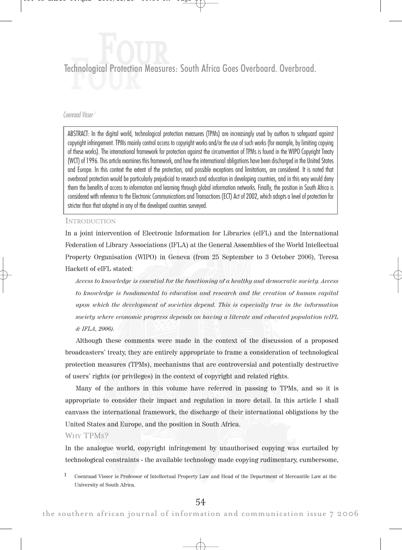# Technological Protection Measures: South Africa Goes Overboard. Overbroad. Four

#### Coenraad Visser<sup>1</sup>

ABSTRACT: In the digital world, technological protection measures (TPMs) are increasingly used by authors to safeguard against copyright infringement. TPMs mainly control access to copyright works and/or the use of such works (for example, by limiting copying of these works). The international framework for protection against the circumvention of TPMs is found in the WIPO Copyright Treaty (WCT) of 1996. This article examines this framework, and how the international obligations have been discharged in the United States and Europe. In this context the extent of the protection, and possible exceptions and limitations, are considered. It is noted that overbroad protection would be particularly prejudicial to research and education in developing countries, and in this way would deny them the benefits of access to information and learning through global information networks. Finally, the position in South Africa is considered with reference to the Electronic Communications and Transactions (ECT) Act of 2002, which adopts a level of protection far stricter than that adopted in any of the developed countries surveyed.

#### **INTRODUCTION**

In a joint intervention of Electronic Information for Libraries (eIFL) and the International Federation of Library Associations (IFLA) at the General Assemblies of the World Intellectual Property Organisation (WIPO) in Geneva (from 25 September to 3 October 2006), Teresa Hackett of eIFL stated:

Access to knowledge is essential for the functioning of a healthy and democratic society. Access to knowledge is fundamental to education and research and the creation of human capital upon which the development of societies depend. This is especially true in the information society where economic progress depends on having a literate and educated population (eIFL & IFLA, 2006).

Although these comments were made in the context of the discussion of a proposed broadcasters' treaty, they are entirely appropriate to frame a consideration of technological protection measures (TPMs), mechanisms that are controversial and potentially destructive of users' rights (or privileges) in the context of copyright and related rights.

Many of the authors in this volume have referred in passing to TPMs, and so it is appropriate to consider their impact and regulation in more detail. In this article I shall canvass the international framework, the discharge of their international obligations by the United States and Europe, and the position in South Africa.

WHY TPM<sub>S</sub>?

In the analogue world, copyright infringement by unauthorised copying was curtailed by technological constraints - the available technology made copying rudimentary, cumbersome,

<sup>1</sup> Coenraad Visser is Professor of Intellectual Property Law and Head of the Department of Mercantile Law at the University of South Africa.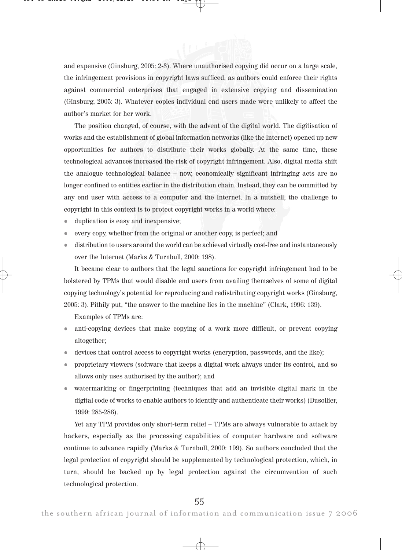

and expensive (Ginsburg, 2005: 2-3). Where unauthorised copying did occur on a large scale, the infringement provisions in copyright laws sufficed, as authors could enforce their rights against commercial enterprises that engaged in extensive copying and dissemination (Ginsburg, 2005: 3). Whatever copies individual end users made were unlikely to affect the author's market for her work.

The position changed, of course, with the advent of the digital world. The digitisation of works and the establishment of global information networks (like the Internet) opened up new opportunities for authors to distribute their works globally. At the same time, these technological advances increased the risk of copyright infringement. Also, digital media shift the analogue technological balance – now, economically significant infringing acts are no longer confined to entities earlier in the distribution chain. Instead, they can be committed by any end user with access to a computer and the Internet. In a nutshell, the challenge to copyright in this context is to protect copyright works in a world where:

- duplication is easy and inexpensive;
- every copy, whether from the original or another copy, is perfect; and
- distribution to users around the world can be achieved virtually cost-free and instantaneously over the Internet (Marks & Turnbull, 2000: 198).

It became clear to authors that the legal sanctions for copyright infringement had to be bolstered by TPMs that would disable end users from availing themselves of some of digital copying technology's potential for reproducing and redistributing copyright works (Ginsburg, 2005: 3). Pithily put, "the answer to the machine lies in the machine" (Clark, 1996: 139).

Examples of TPMs are:

- anti-copying devices that make copying of a work more difficult, or prevent copying altogether;
- devices that control access to copyright works (encryption, passwords, and the like);
- proprietary viewers (software that keeps a digital work always under its control, and so allows only uses authorised by the author); and
- watermarking or fingerprinting (techniques that add an invisible digital mark in the digital code of works to enable authors to identify and authenticate their works) (Dusollier, 1999: 285-286).

Yet any TPM provides only short-term relief – TPMs are always vulnerable to attack by hackers, especially as the processing capabilities of computer hardware and software continue to advance rapidly (Marks & Turnbull, 2000: 199). So authors concluded that the legal protection of copyright should be supplemented by technological protection, which, in turn, should be backed up by legal protection against the circumvention of such technological protection.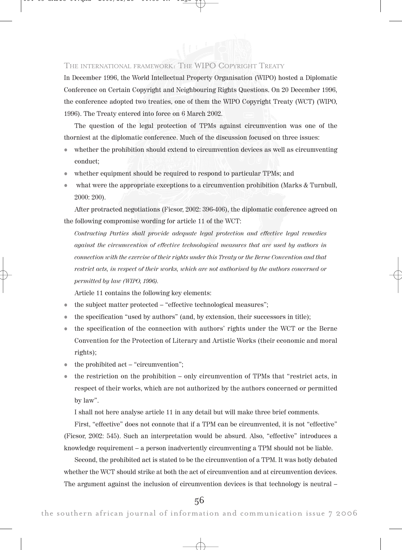

## THE INTERNATIONAL FRAMEWORK: THE WIPO COPYRIGHT TREATY

In December 1996, the World Intellectual Property Organisation (WIPO) hosted a Diplomatic Conference on Certain Copyright and Neighbouring Rights Questions. On 20 December 1996, the conference adopted two treaties, one of them the WIPO Copyright Treaty (WCT) (WIPO, 1996). The Treaty entered into force on 6 March 2002.

The question of the legal protection of TPMs against circumvention was one of the thorniest at the diplomatic conference. Much of the discussion focused on three issues:

- whether the prohibition should extend to circumvention devices as well as circumventing conduct;
- whether equipment should be required to respond to particular TPMs; and
- what were the appropriate exceptions to a circumvention prohibition (Marks & Turnbull, 2000: 200).

After protracted negotiations (Ficsor, 2002: 396-406), the diplomatic conference agreed on the following compromise wording for article 11 of the WCT:

Contracting Parties shall provide adequate legal protection and effective legal remedies against the circumvention of effective technological measures that are used by authors in connection with the exercise of their rights under this Treaty or the Berne Convention and that restrict acts, in respect of their works, which are not authorised by the authors concerned or permitted by law (WIPO, 1996).

Article 11 contains the following key elements:

- the subject matter protected "effective technological measures";
- the specification "used by authors" (and, by extension, their successors in title);
- the specification of the connection with authors' rights under the WCT or the Berne Convention for the Protection of Literary and Artistic Works (their economic and moral rights);
- the prohibited act "circumvention";
- $\bullet$  the restriction on the prohibition only circumvention of TPMs that "restrict acts, in respect of their works, which are not authorized by the authors concerned or permitted by law".

I shall not here analyse article 11 in any detail but will make three brief comments.

First, "effective" does not connote that if a TPM can be circumvented, it is not "effective" (Ficsor, 2002: 545). Such an interpretation would be absurd. Also, "effective" introduces a knowledge requirement – a person inadvertently circumventing a TPM should not be liable.

Second, the prohibited act is stated to be the circumvention of a TPM. It was hotly debated whether the WCT should strike at both the act of circumvention and at circumvention devices. The argument against the inclusion of circumvention devices is that technology is neutral –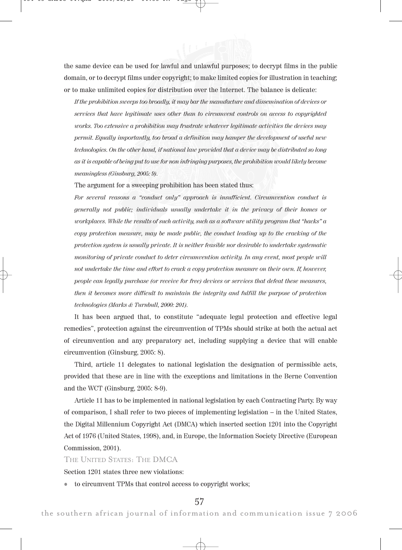the same device can be used for lawful and unlawful purposes; to decrypt films in the public domain, or to decrypt films under copyright; to make limited copies for illustration in teaching; or to make unlimited copies for distribution over the Internet. The balance is delicate:

If the prohibition sweeps too broadly, it may bar the manufacture and dissemination of devices or services that have legitimate uses other than to circumvent controls on access to copyrighted works. Too extensive a prohibition may frustrate whatever legitimate activities the devices may permit. Equally importantly, too broad a definition may hamper the development of useful new technologies. On the other hand, if national law provided that a device may be distributed so long as it is capable of being put to use for non infringing purposes, the prohibition would likely become meaningless (Ginsburg, 2005: 9).

The argument for a sweeping prohibition has been stated thus:

For several reasons a "conduct only" approach is insufficient. Circumvention conduct is generally not public; individuals usually undertake it in the privacy of their homes or workplaces. While the results of such activity, such as a software utility program that "hacks" a copy protection measure, may be made public, the conduct leading up to the cracking of the protection system is usually private. It is neither feasible nor desirable to undertake systematic monitoring of private conduct to deter circumvention activity. In any event, most people will not undertake the time and effort to crack a copy protection measure on their own. If, however, people can legally purchase (or receive for free) devices or services that defeat these measures, then it becomes more difficult to maintain the integrity and fulfill the purpose of protection technologies (Marks & Turnbull, 2000: 201).

It has been argued that, to constitute "adequate legal protection and effective legal remedies", protection against the circumvention of TPMs should strike at both the actual act of circumvention and any preparatory act, including supplying a device that will enable circumvention (Ginsburg, 2005: 8).

Third, article 11 delegates to national legislation the designation of permissible acts, provided that these are in line with the exceptions and limitations in the Berne Convention and the WCT (Ginsburg, 2005: 8-9).

Article 11 has to be implemented in national legislation by each Contracting Party. By way of comparison, I shall refer to two pieces of implementing legislation – in the United States, the Digital Millennium Copyright Act (DMCA) which inserted section 1201 into the Copyright Act of 1976 (United States, 1998), and, in Europe, the Information Society Directive (European Commission, 2001).

#### THE UNITED STATES: THE DMCA

Section 1201 states three new violations:

to circumvent TPMs that control access to copyright works;

# 57

the southern african journal of information and communication issue 7 2006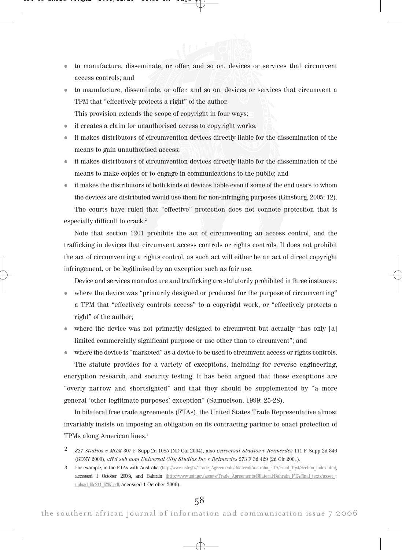- to manufacture, disseminate, or offer, and so on, devices or services that circumvent access controls; and
- to manufacture, disseminate, or offer, and so on, devices or services that circumvent a TPM that "effectively protects a right" of the author.

This provision extends the scope of copyright in four ways:

- it creates a claim for unauthorised access to copyright works;
- it makes distributors of circumvention devices directly liable for the dissemination of the means to gain unauthorised access;
- it makes distributors of circumvention devices directly liable for the dissemination of the means to make copies or to engage in communications to the public; and
- it makes the distributors of both kinds of devices liable even if some of the end users to whom the devices are distributed would use them for non-infringing purposes (Ginsburg, 2005: 12).

The courts have ruled that "effective" protection does not connote protection that is especially difficult to crack.<sup>2</sup>

Note that section 1201 prohibits the act of circumventing an access control, and the trafficking in devices that circumvent access controls or rights controls. It does not prohibit the act of circumventing a rights control, as such act will either be an act of direct copyright infringement, or be legitimised by an exception such as fair use.

Device and services manufacture and trafficking are statutorily prohibited in three instances:

- where the device was "primarily designed or produced for the purpose of circumventing" a TPM that "effectively controls access" to a copyright work, or "effectively protects a right" of the author;
- where the device was not primarily designed to circumvent but actually "has only [a] limited commercially significant purpose or use other than to circumvent"; and
- where the device is "marketed" as a device to be used to circumvent access or rights controls. The statute provides for a variety of exceptions, including for reverse engineering, encryption research, and security testing. It has been argued that these exceptions are "overly narrow and shortsighted" and that they should be supplemented by "a more general 'other legitimate purposes' exception" (Samuelson, 1999: 25-28).

In bilateral free trade agreements (FTAs), the United States Trade Representative almost invariably insists on imposing an obligation on its contracting partner to enact protection of TPMs along American lines.3

- <sup>2</sup> 321 Studios v MGM 307 F Supp 2d 1085 (ND Cal 2004); also Universal Studios v Reimerdes 111 F Supp 2d 346 (SDNY 2000), aff'd sub nom Universal City Studios Inc v Reimerdes 273 F 3d 429 (2d Cir 2001).
- 3 For example, in the FTAs with Australia (http://www.ustr.gov/Trade\_Agreements/Bilateral/Australia\_FTA/Final\_Text/Section\_Index.html, accessed 1 October 2006), and Bahrain (http://www.ustr.gov/assets/Trade Agreements/Bilateral/Bahrain FTA/final texts/asset upload\_file211\_6293.pdf, accessed 1 October 2006).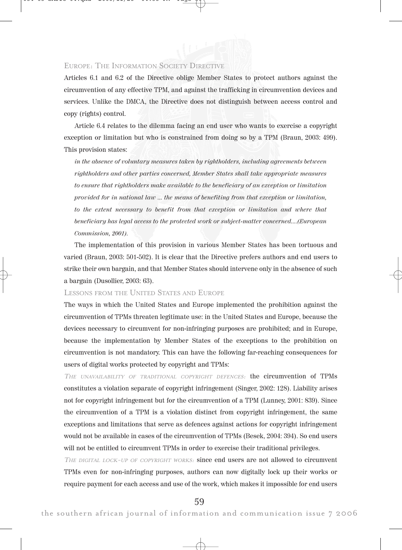## EUROPE: THE INFORMATION SOCIETY DIRECTIVE

Articles 6.1 and 6.2 of the Directive oblige Member States to protect authors against the circumvention of any effective TPM, and against the trafficking in circumvention devices and services. Unlike the DMCA, the Directive does not distinguish between access control and copy (rights) control.

Article 6.4 relates to the dilemma facing an end user who wants to exercise a copyright exception or limitation but who is constrained from doing so by a TPM (Braun, 2003: 499). This provision states:

in the absence of voluntary measures taken by rightholders, including agreements between rightholders and other parties concerned, Member States shall take appropriate measures to ensure that rightholders make available to the beneficiary of an exception or limitation provided for in national law ... the means of benefiting from that exception or limitation, to the extent necessary to benefit from that exception or limitation and where that beneficiary has legal access to the protected work or subject-matter concerned....(European Commission, 2001).

The implementation of this provision in various Member States has been tortuous and varied (Braun, 2003: 501-502). It is clear that the Directive prefers authors and end users to strike their own bargain, and that Member States should intervene only in the absence of such a bargain (Dusollier, 2003: 63).

LESSONS FROM THE UNITED STATES AND EUROPE

The ways in which the United States and Europe implemented the prohibition against the circumvention of TPMs threaten legitimate use: in the United States and Europe, because the devices necessary to circumvent for non-infringing purposes are prohibited; and in Europe, because the implementation by Member States of the exceptions to the prohibition on circumvention is not mandatory. This can have the following far-reaching consequences for users of digital works protected by copyright and TPMs:

THE UNAVAILABILITY OF TRADITIONAL COPYRIGHT DEFENCES: the circumvention of TPMs constitutes a violation separate of copyright infringement (Singer, 2002: 128). Liability arises not for copyright infringement but for the circumvention of a TPM (Lunney, 2001: 839). Since the circumvention of a TPM is a violation distinct from copyright infringement, the same exceptions and limitations that serve as defences against actions for copyright infringement would not be available in cases of the circumvention of TPMs (Besek, 2004: 394). So end users will not be entitled to circumvent TPMs in order to exercise their traditional privileges.

THE DIGITAL LOCK-UP OF COPYRIGHT WORKS: since end users are not allowed to circumvent TPMs even for non-infringing purposes, authors can now digitally lock up their works or require payment for each access and use of the work, which makes it impossible for end users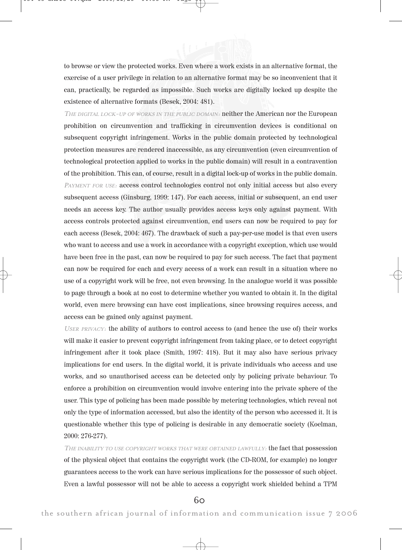to browse or view the protected works. Even where a work exists in an alternative format, the exercise of a user privilege in relation to an alternative format may be so inconvenient that it can, practically, be regarded as impossible. Such works are digitally locked up despite the existence of alternative formats (Besek, 2004: 481).

THE DIGITAL LOCK-UP OF WORKS IN THE PUBLIC DOMAIN: neither the American nor the European prohibition on circumvention and trafficking in circumvention devices is conditional on subsequent copyright infringement. Works in the public domain protected by technological protection measures are rendered inaccessible, as any circumvention (even circumvention of technological protection applied to works in the public domain) will result in a contravention of the prohibition. This can, of course, result in a digital lock-up of works in the public domain. PAYMENT FOR USE: access control technologies control not only initial access but also every subsequent access (Ginsburg, 1999: 147). For each access, initial or subsequent, an end user needs an access key. The author usually provides access keys only against payment. With access controls protected against circumvention, end users can now be required to pay for each access (Besek, 2004: 467). The drawback of such a pay-per-use model is that even users who want to access and use a work in accordance with a copyright exception, which use would have been free in the past, can now be required to pay for such access. The fact that payment can now be required for each and every access of a work can result in a situation where no use of a copyright work will be free, not even browsing. In the analogue world it was possible to page through a book at no cost to determine whether you wanted to obtain it. In the digital world, even mere browsing can have cost implications, since browsing requires access, and access can be gained only against payment.

<sup>U</sup>SER PRIVACY: the ability of authors to control access to (and hence the use of) their works will make it easier to prevent copyright infringement from taking place, or to detect copyright infringement after it took place (Smith, 1997: 418). But it may also have serious privacy implications for end users. In the digital world, it is private individuals who access and use works, and so unauthorised access can be detected only by policing private behaviour. To enforce a prohibition on circumvention would involve entering into the private sphere of the user. This type of policing has been made possible by metering technologies, which reveal not only the type of information accessed, but also the identity of the person who accessed it. It is questionable whether this type of policing is desirable in any democratic society (Koelman, 2000: 276-277).

THE INABILITY TO USE COPYRIGHT WORKS THAT WERE OBTAINED LAWFULLY: **the fact that possession** of the physical object that contains the copyright work (the CD-ROM, for example) no longer guarantees access to the work can have serious implications for the possessor of such object. Even a lawful possessor will not be able to access a copyright work shielded behind a TPM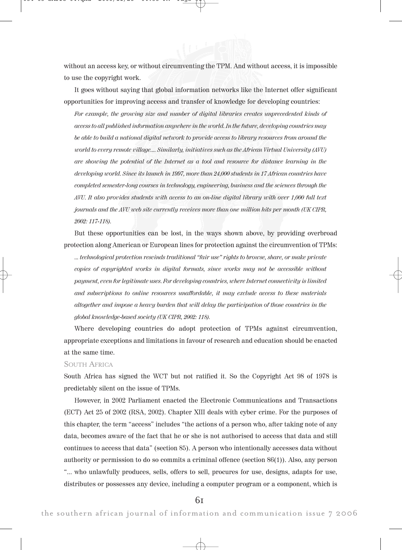without an access key, or without circumventing the TPM. And without access, it is impossible to use the copyright work.

It goes without saying that global information networks like the Internet offer significant opportunities for improving access and transfer of knowledge for developing countries:

For example, the growing size and number of digital libraries creates unprecedented kinds of access to all published information anywhere in the world. In the future, developing countries may be able to build a national digital network to provide access to library resources from around the world to every remote village.... Similarly, initiatives such as the African Virtual University (AVU) are showing the potential of the Internet as a tool and resource for distance learning in the developing world. Since its launch in 1997, more than 24,000 students in 17 African countries have completed semester-long courses in technology, engineering, business and the sciences through the AVU. It also provides students with access to an on-line digital library with over 1,000 full text journals and the AVU web site currently receives more than one million hits per month (UK CIPR, 2002: 117-118).

But these opportunities can be lost, in the ways shown above, by providing overbroad protection along American or European lines for protection against the circumvention of TPMs:

... technological protection rescinds traditional "fair use" rights to browse, share, or make private copies of copyrighted works in digital formats, since works may not be accessible without payment, even for legitimate uses. For developing countries, where Internet connectivity is limited and subscriptions to online resources unaffordable, it may exclude access to these materials altogether and impose a heavy burden that will delay the participation of those countries in the global knowledge-based society (UK CIPR, 2002: 118).

Where developing countries do adopt protection of TPMs against circumvention, appropriate exceptions and limitations in favour of research and education should be enacted at the same time.

#### SOUTH AFRICA

South Africa has signed the WCT but not ratified it. So the Copyright Act 98 of 1978 is predictably silent on the issue of TPMs.

However, in 2002 Parliament enacted the Electronic Communications and Transactions (ECT) Act 25 of 2002 (RSA, 2002). Chapter XIII deals with cyber crime. For the purposes of this chapter, the term "access" includes "the actions of a person who, after taking note of any data, becomes aware of the fact that he or she is not authorised to access that data and still continues to access that data" (section 85). A person who intentionally accesses data without authority or permission to do so commits a criminal offence (section 86(1)). Also, any person "... who unlawfully produces, sells, offers to sell, procures for use, designs, adapts for use, distributes or possesses any device, including a computer program or a component, which is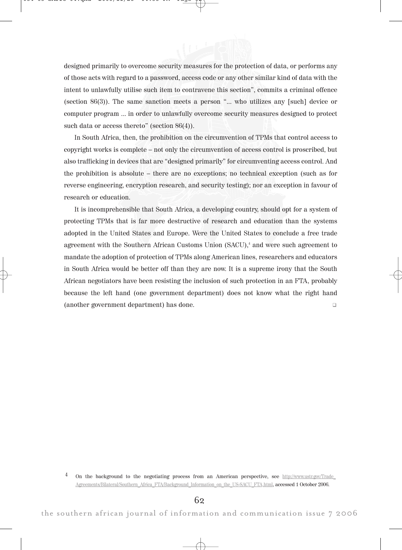

In South Africa, then, the prohibition on the circumvention of TPMs that control access to copyright works is complete – not only the circumvention of access control is proscribed, but also trafficking in devices that are "designed primarily" for circumventing access control. And the prohibition is absolute – there are no exceptions; no technical exception (such as for reverse engineering, encryption research, and security testing); nor an exception in favour of research or education.

It is incomprehensible that South Africa, a developing country, should opt for a system of protecting TPMs that is far more destructive of research and education than the systems adopted in the United States and Europe. Were the United States to conclude a free trade agreement with the Southern African Customs Union (SACU),<sup>4</sup> and were such agreement to mandate the adoption of protection of TPMs along American lines, researchers and educators in South Africa would be better off than they are now. It is a supreme irony that the South African negotiators have been resisting the inclusion of such protection in an FTA, probably because the left hand (one government department) does not know what the right hand (another government department) has done. -

<sup>4</sup> On the background to the negotiating process from an American perspective, see http://www.ustr.gov/Trade\_ Agreements/Bilateral/Southern\_Africa\_FTA/Background\_Information\_on\_the\_US-SACU\_FTA.html, accessed 1 October 2006.

62

the southern african journal of information and communication issue 7 2006